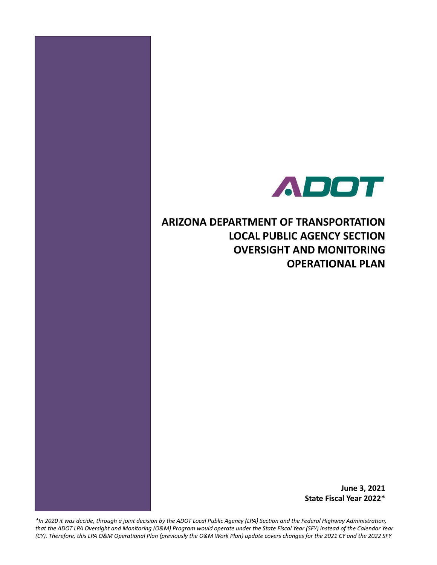

**ARIZONA DEPARTMENT OF TRANSPORTATION LOCAL PUBLIC AGENCY SECTION OVERSIGHT AND MONITORING OPERATIONAL PLAN**

> **June 3, 2021 State Fiscal Year 2022\***

*\*In 2020 it was decide, through a joint decision by the ADOT Local Public Agency (LPA) Section and the Federal Highway Administration, that the ADOT LPA Oversight and Monitoring (O&M) Program would operate under the State Fiscal Year (SFY) instead of the Calendar Year (CY). Therefore, this LPA O&M Operational Plan (previously the O&M Work Plan) update covers changes for the 2021 CY and the 2022 SFY*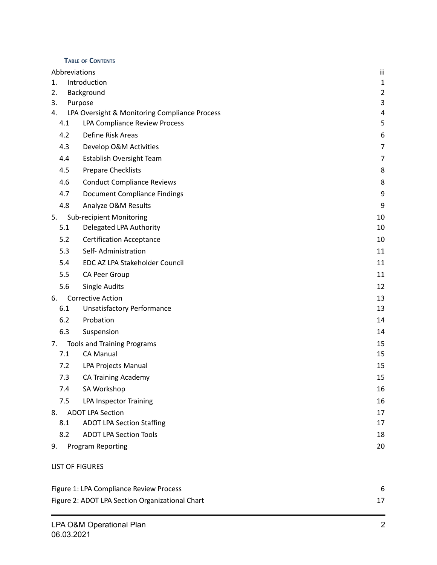#### **T ABLE OF CONTENTS**

| Abbreviations                 |                                               | iii            |
|-------------------------------|-----------------------------------------------|----------------|
| 1.                            | Introduction                                  |                |
| 2.                            | Background                                    | $\overline{2}$ |
| 3.                            | Purpose                                       | 3              |
| 4.                            | LPA Oversight & Monitoring Compliance Process | 4              |
| 4.1                           | LPA Compliance Review Process                 | 5              |
| 4.2                           | Define Risk Areas                             | 6              |
| 4.3                           | Develop O&M Activities                        | $\overline{7}$ |
| 4.4                           | Establish Oversight Team                      | 7              |
| 4.5                           | Prepare Checklists                            | 8              |
| 4.6                           | <b>Conduct Compliance Reviews</b>             | 8              |
| 4.7                           | <b>Document Compliance Findings</b>           | 9              |
| 4.8                           | Analyze O&M Results                           | 9              |
| 5.                            | <b>Sub-recipient Monitoring</b>               | 10             |
| 5.1                           | Delegated LPA Authority                       | 10             |
| 5.2                           | <b>Certification Acceptance</b>               | 10             |
| 5.3                           | Self-Administration                           | 11             |
| 5.4                           | EDC AZ LPA Stakeholder Council                | 11             |
| 5.5                           | CA Peer Group                                 | 11             |
| 5.6                           | <b>Single Audits</b>                          | 12             |
| 6.                            | <b>Corrective Action</b>                      | 13             |
| 6.1                           | <b>Unsatisfactory Performance</b>             | 13             |
| 6.2                           | Probation                                     | 14             |
| 6.3                           | Suspension                                    | 14             |
| 7.                            | <b>Tools and Training Programs</b>            | 15             |
| 7.1                           | <b>CA Manual</b>                              | 15             |
| 7.2                           | LPA Projects Manual                           | 15             |
| 7.3                           | <b>CA Training Academy</b>                    | 15             |
| 7.4                           | SA Workshop                                   | 16             |
| 7.5                           | <b>LPA Inspector Training</b>                 | 16             |
| <b>ADOT LPA Section</b><br>8. |                                               | 17             |
| 8.1                           | <b>ADOT LPA Section Staffing</b>              | 17             |
| 8.2                           | <b>ADOT LPA Section Tools</b>                 | 18             |
| 9.                            | Program Reporting                             | 20             |
| <b>LIST OF FIGURES</b>        |                                               |                |

| Figure 1: LPA Compliance Review Process         |  |
|-------------------------------------------------|--|
| Figure 2: ADOT LPA Section Organizational Chart |  |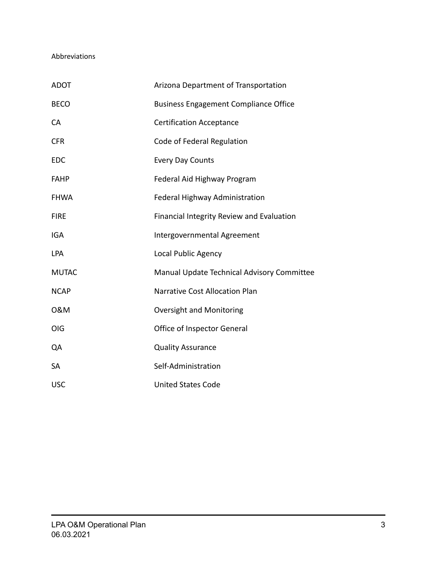#### <span id="page-2-0"></span>Abbreviations

| <b>ADOT</b>  | Arizona Department of Transportation             |
|--------------|--------------------------------------------------|
| <b>BECO</b>  | <b>Business Engagement Compliance Office</b>     |
| <b>CA</b>    | <b>Certification Acceptance</b>                  |
| <b>CFR</b>   | Code of Federal Regulation                       |
| <b>EDC</b>   | <b>Every Day Counts</b>                          |
| <b>FAHP</b>  | Federal Aid Highway Program                      |
| <b>FHWA</b>  | Federal Highway Administration                   |
| <b>FIRE</b>  | <b>Financial Integrity Review and Evaluation</b> |
| <b>IGA</b>   | Intergovernmental Agreement                      |
| LPA          | Local Public Agency                              |
| <b>MUTAC</b> | Manual Update Technical Advisory Committee       |
| <b>NCAP</b>  | Narrative Cost Allocation Plan                   |
| 0&M          | Oversight and Monitoring                         |
| <b>OIG</b>   | Office of Inspector General                      |
| QA           | <b>Quality Assurance</b>                         |
| <b>SA</b>    | Self-Administration                              |
| <b>USC</b>   | <b>United States Code</b>                        |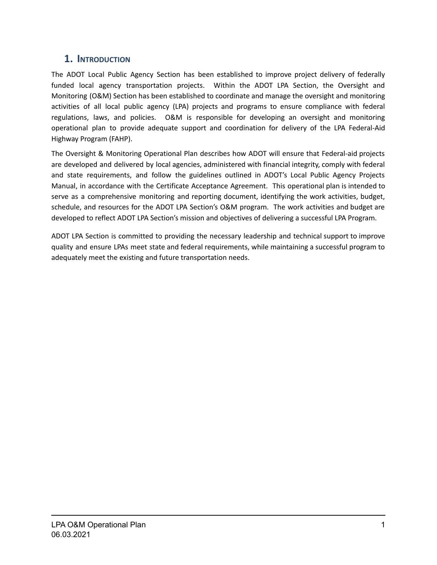# <span id="page-3-0"></span>**1. INTRODUCTION**

The ADOT Local Public Agency Section has been established to improve project delivery of federally funded local agency transportation projects. Within the ADOT LPA Section, the Oversight and Monitoring (O&M) Section has been established to coordinate and manage the oversight and monitoring activities of all local public agency (LPA) projects and programs to ensure compliance with federal regulations, laws, and policies. O&M is responsible for developing an oversight and monitoring operational plan to provide adequate support and coordination for delivery of the LPA Federal-Aid Highway Program (FAHP).

The Oversight & Monitoring Operational Plan describes how ADOT will ensure that Federal-aid projects are developed and delivered by local agencies, administered with financial integrity, comply with federal and state requirements, and follow the guidelines outlined in ADOT's Local Public Agency Projects Manual, in accordance with the Certificate Acceptance Agreement. This operational plan is intended to serve as a comprehensive monitoring and reporting document, identifying the work activities, budget, schedule, and resources for the ADOT LPA Section's O&M program. The work activities and budget are developed to reflect ADOT LPA Section's mission and objectives of delivering a successful LPA Program.

ADOT LPA Section is committed to providing the necessary leadership and technical support to improve quality and ensure LPAs meet state and federal requirements, while maintaining a successful program to adequately meet the existing and future transportation needs.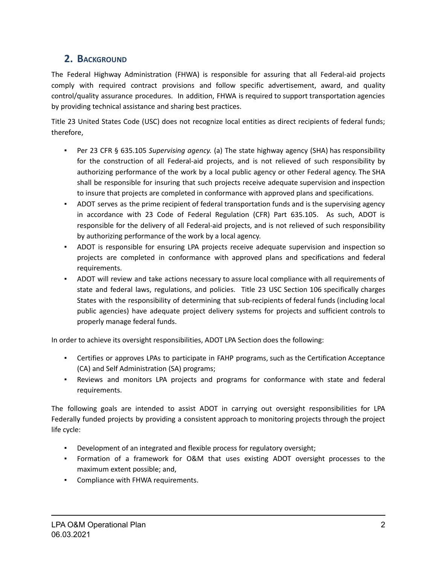# <span id="page-4-0"></span>**2. BACKGROUND**

The Federal Highway Administration (FHWA) is responsible for assuring that all Federal-aid projects comply with required contract provisions and follow specific advertisement, award, and quality control/quality assurance procedures. In addition, FHWA is required to support transportation agencies by providing technical assistance and sharing best practices.

Title 23 United States Code (USC) does not recognize local entities as direct recipients of federal funds; therefore,

- Per 23 CFR § 635.105 *Supervising agency.* (a) The state highway agency (SHA) has responsibility for the construction of all Federal-aid projects, and is not relieved of such responsibility by authorizing performance of the work by a local public agency or other Federal agency. The SHA shall be responsible for insuring that such projects receive adequate supervision and inspection to insure that projects are completed in conformance with approved plans and specifications.
- ADOT serves as the prime recipient of federal transportation funds and is the supervising agency in accordance with 23 Code of Federal Regulation (CFR) Part 635.105. As such, ADOT is responsible for the delivery of all Federal-aid projects, and is not relieved of such responsibility by authorizing performance of the work by a local agency.
- ADOT is responsible for ensuring LPA projects receive adequate supervision and inspection so projects are completed in conformance with approved plans and specifications and federal requirements.
- ADOT will review and take actions necessary to assure local compliance with all requirements of state and federal laws, regulations, and policies. Title 23 USC Section 106 specifically charges States with the responsibility of determining that sub-recipients of federal funds (including local public agencies) have adequate project delivery systems for projects and sufficient controls to properly manage federal funds.

In order to achieve its oversight responsibilities, ADOT LPA Section does the following:

- Certifies or approves LPAs to participate in FAHP programs, such as the Certification Acceptance (CA) and Self Administration (SA) programs;
- **•** Reviews and monitors LPA projects and programs for conformance with state and federal requirements.

The following goals are intended to assist ADOT in carrying out oversight responsibilities for LPA Federally funded projects by providing a consistent approach to monitoring projects through the project life cycle:

- Development of an integrated and flexible process for regulatory oversight;
- Formation of a framework for O&M that uses existing ADOT oversight processes to the maximum extent possible; and,
- Compliance with FHWA requirements.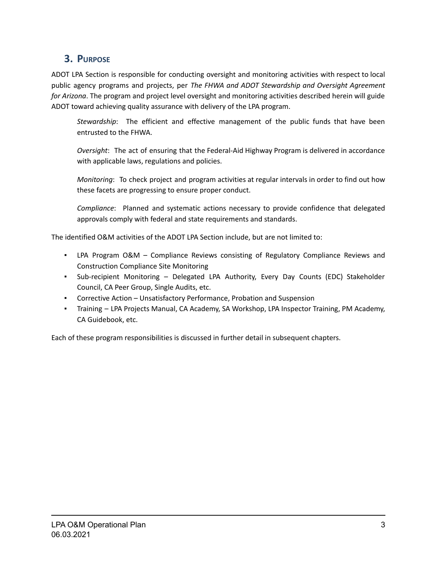# <span id="page-5-0"></span>**3. PURPOSE**

ADOT LPA Section is responsible for conducting oversight and monitoring activities with respect to local public agency programs and projects, per *The FHWA and ADOT Stewardship and Oversight Agreement for Arizona*. The program and project level oversight and monitoring activities described herein will guide ADOT toward achieving quality assurance with delivery of the LPA program.

*Stewardship*: The efficient and effective management of the public funds that have been entrusted to the FHWA.

*Oversight*: The act of ensuring that the Federal-Aid Highway Program is delivered in accordance with applicable laws, regulations and policies.

*Monitoring*: To check project and program activities at regular intervals in order to find out how these facets are progressing to ensure proper conduct.

*Compliance*: Planned and systematic actions necessary to provide confidence that delegated approvals comply with federal and state requirements and standards.

The identified O&M activities of the ADOT LPA Section include, but are not limited to:

- LPA Program O&M Compliance Reviews consisting of Regulatory Compliance Reviews and Construction Compliance Site Monitoring
- Sub-recipient Monitoring Delegated LPA Authority, Every Day Counts (EDC) Stakeholder Council, CA Peer Group, Single Audits, etc.
- Corrective Action Unsatisfactory Performance, Probation and Suspension
- Training LPA Projects Manual, CA Academy, SA Workshop, LPA Inspector Training, PM Academy, CA Guidebook, etc.

Each of these program responsibilities is discussed in further detail in subsequent chapters.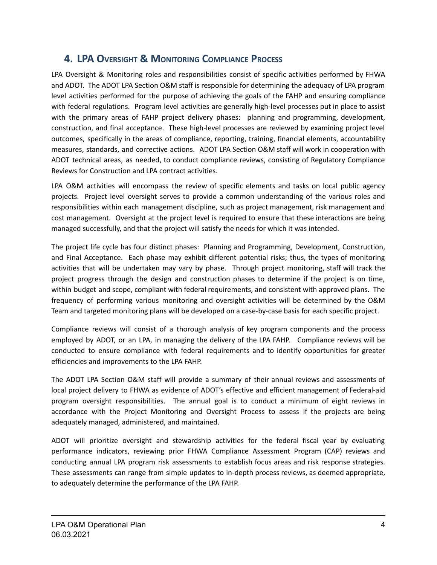# <span id="page-6-0"></span>**4. LPA OVERSIGHT & MONITORING COMPLIANCE PROCESS**

LPA Oversight & Monitoring roles and responsibilities consist of specific activities performed by FHWA and ADOT. The ADOT LPA Section O&M staff is responsible for determining the adequacy of LPA program level activities performed for the purpose of achieving the goals of the FAHP and ensuring compliance with federal regulations. Program level activities are generally high-level processes put in place to assist with the primary areas of FAHP project delivery phases: planning and programming, development, construction, and final acceptance. These high-level processes are reviewed by examining project level outcomes, specifically in the areas of compliance, reporting, training, financial elements, accountability measures, standards, and corrective actions. ADOT LPA Section O&M staff will work in cooperation with ADOT technical areas, as needed, to conduct compliance reviews, consisting of Regulatory Compliance Reviews for Construction and LPA contract activities.

LPA O&M activities will encompass the review of specific elements and tasks on local public agency projects. Project level oversight serves to provide a common understanding of the various roles and responsibilities within each management discipline, such as project management, risk management and cost management. Oversight at the project level is required to ensure that these interactions are being managed successfully, and that the project will satisfy the needs for which it was intended.

The project life cycle has four distinct phases: Planning and Programming, Development, Construction, and Final Acceptance. Each phase may exhibit different potential risks; thus, the types of monitoring activities that will be undertaken may vary by phase. Through project monitoring, staff will track the project progress through the design and construction phases to determine if the project is on time, within budget and scope, compliant with federal requirements, and consistent with approved plans. The frequency of performing various monitoring and oversight activities will be determined by the O&M Team and targeted monitoring plans will be developed on a case-by-case basis for each specific project.

Compliance reviews will consist of a thorough analysis of key program components and the process employed by ADOT, or an LPA, in managing the delivery of the LPA FAHP. Compliance reviews will be conducted to ensure compliance with federal requirements and to identify opportunities for greater efficiencies and improvements to the LPA FAHP.

The ADOT LPA Section O&M staff will provide a summary of their annual reviews and assessments of local project delivery to FHWA as evidence of ADOT's effective and efficient management of Federal-aid program oversight responsibilities. The annual goal is to conduct a minimum of eight reviews in accordance with the Project Monitoring and Oversight Process to assess if the projects are being adequately managed, administered, and maintained.

ADOT will prioritize oversight and stewardship activities for the federal fiscal year by evaluating performance indicators, reviewing prior FHWA Compliance Assessment Program (CAP) reviews and conducting annual LPA program risk assessments to establish focus areas and risk response strategies. These assessments can range from simple updates to in-depth process reviews, as deemed appropriate, to adequately determine the performance of the LPA FAHP.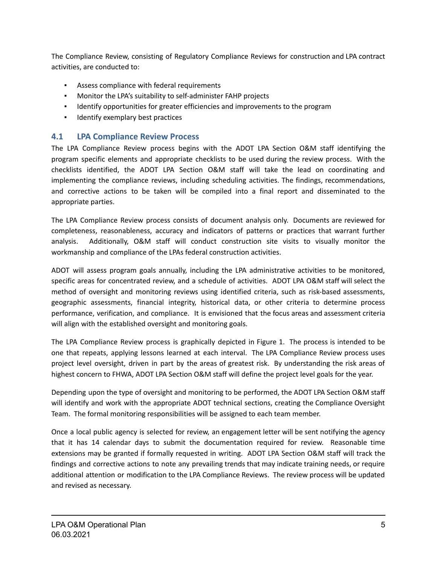The Compliance Review, consisting of Regulatory Compliance Reviews for construction and LPA contract activities, are conducted to:

- Assess compliance with federal requirements
- Monitor the LPA's suitability to self-administer FAHP projects
- Identify opportunities for greater efficiencies and improvements to the program
- Identify exemplary best practices

## <span id="page-7-0"></span>**4.1 LPA Compliance Review Process**

The LPA Compliance Review process begins with the ADOT LPA Section O&M staff identifying the program specific elements and appropriate checklists to be used during the review process. With the checklists identified, the ADOT LPA Section O&M staff will take the lead on coordinating and implementing the compliance reviews, including scheduling activities. The findings, recommendations, and corrective actions to be taken will be compiled into a final report and disseminated to the appropriate parties.

The LPA Compliance Review process consists of document analysis only. Documents are reviewed for completeness, reasonableness, accuracy and indicators of patterns or practices that warrant further analysis. Additionally, O&M staff will conduct construction site visits to visually monitor the workmanship and compliance of the LPAs federal construction activities.

ADOT will assess program goals annually, including the LPA administrative activities to be monitored, specific areas for concentrated review, and a schedule of activities. ADOT LPA O&M staff will select the method of oversight and monitoring reviews using identified criteria, such as risk-based assessments, geographic assessments, financial integrity, historical data, or other criteria to determine process performance, verification, and compliance. It is envisioned that the focus areas and assessment criteria will align with the established oversight and monitoring goals.

The LPA Compliance Review process is graphically depicted in Figure 1. The process is intended to be one that repeats, applying lessons learned at each interval. The LPA Compliance Review process uses project level oversight, driven in part by the areas of greatest risk. By understanding the risk areas of highest concern to FHWA, ADOT LPA Section O&M staff will define the project level goals for the year.

Depending upon the type of oversight and monitoring to be performed, the ADOT LPA Section O&M staff will identify and work with the appropriate ADOT technical sections, creating the Compliance Oversight Team. The formal monitoring responsibilities will be assigned to each team member.

Once a local public agency is selected for review, an engagement letter will be sent notifying the agency that it has 14 calendar days to submit the documentation required for review. Reasonable time extensions may be granted if formally requested in writing. ADOT LPA Section O&M staff will track the findings and corrective actions to note any prevailing trends that may indicate training needs, or require additional attention or modification to the LPA Compliance Reviews. The review process will be updated and revised as necessary.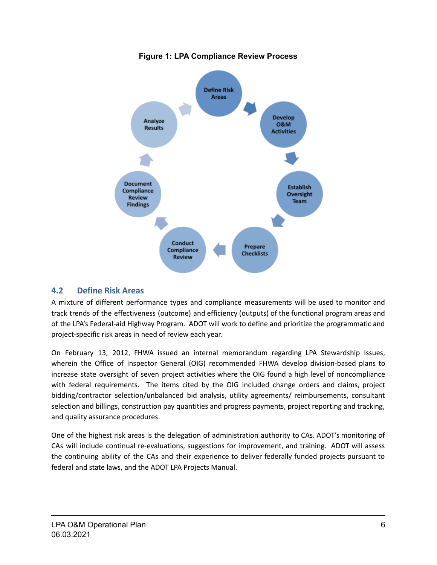<span id="page-8-1"></span>

#### **Figure 1: LPA Compliance Review Process**

### <span id="page-8-0"></span>**4.2 Define Risk Areas**

A mixture of different performance types and compliance measurements will be used to monitor and track trends of the effectiveness (outcome) and efficiency (outputs) of the functional program areas and of the LPA's Federal-aid Highway Program. ADOT will work to define and prioritize the programmatic and project-specific risk areas in need of review each year.

On February 13, 2012, FHWA issued an internal memorandum regarding LPA Stewardship Issues, wherein the Office of Inspector General (OIG) recommended FHWA develop division-based plans to increase state oversight of seven project activities where the OIG found a high level of noncompliance with federal requirements. The items cited by the OIG included change orders and claims, project bidding/contractor selection/unbalanced bid analysis, utility agreements/ reimbursements, consultant selection and billings, construction pay quantities and progress payments, project reporting and tracking, and quality assurance procedures.

One of the highest risk areas is the delegation of administration authority to CAs. ADOT's monitoring of CAs will include continual re-evaluations, suggestions for improvement, and training. ADOT will assess the continuing ability of the CAs and their experience to deliver federally funded projects pursuant to federal and state laws, and the ADOT LPA Projects Manual.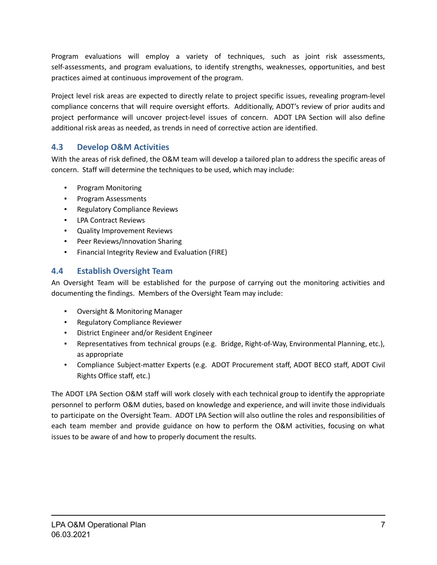Program evaluations will employ a variety of techniques, such as joint risk assessments, self-assessments, and program evaluations, to identify strengths, weaknesses, opportunities, and best practices aimed at continuous improvement of the program.

Project level risk areas are expected to directly relate to project specific issues, revealing program-level compliance concerns that will require oversight efforts. Additionally, ADOT's review of prior audits and project performance will uncover project-level issues of concern. ADOT LPA Section will also define additional risk areas as needed, as trends in need of corrective action are identified.

## <span id="page-9-0"></span>**4.3 Develop O&M Activities**

With the areas of risk defined, the O&M team will develop a tailored plan to address the specific areas of concern. Staff will determine the techniques to be used, which may include:

- Program Monitoring
- Program Assessments
- Regulatory Compliance Reviews
- LPA Contract Reviews
- Quality Improvement Reviews
- Peer Reviews/Innovation Sharing
- Financial Integrity Review and Evaluation (FIRE)

## <span id="page-9-1"></span>**4.4 Establish Oversight Team**

An Oversight Team will be established for the purpose of carrying out the monitoring activities and documenting the findings. Members of the Oversight Team may include:

- Oversight & Monitoring Manager
- Regulatory Compliance Reviewer
- District Engineer and/or Resident Engineer
- Representatives from technical groups (e.g. Bridge, Right-of-Way, Environmental Planning, etc.), as appropriate
- Compliance Subject-matter Experts (e.g. ADOT Procurement staff, ADOT BECO staff, ADOT Civil Rights Office staff, etc.)

The ADOT LPA Section O&M staff will work closely with each technical group to identify the appropriate personnel to perform O&M duties, based on knowledge and experience, and will invite those individuals to participate on the Oversight Team. ADOT LPA Section will also outline the roles and responsibilities of each team member and provide guidance on how to perform the O&M activities, focusing on what issues to be aware of and how to properly document the results.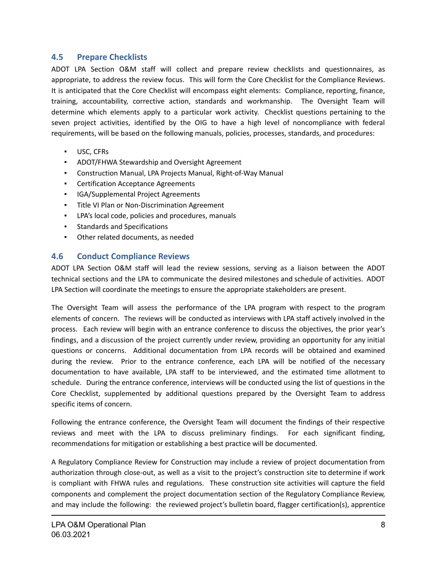#### <span id="page-10-0"></span>**4.5 Prepare Checklists**

ADOT LPA Section O&M staff will collect and prepare review checklists and questionnaires, as appropriate, to address the review focus. This will form the Core Checklist for the Compliance Reviews. It is anticipated that the Core Checklist will encompass eight elements: Compliance, reporting, finance, training, accountability, corrective action, standards and workmanship. The Oversight Team will determine which elements apply to a particular work activity. Checklist questions pertaining to the seven project activities, identified by the OIG to have a high level of noncompliance with federal requirements, will be based on the following manuals, policies, processes, standards, and procedures:

- USC, CFRs
- ADOT/FHWA Stewardship and Oversight Agreement
- Construction Manual, LPA Projects Manual, Right-of-Way Manual
- **Certification Acceptance Agreements**
- IGA/Supplemental Project Agreements
- Title VI Plan or Non-Discrimination Agreement
- LPA's local code, policies and procedures, manuals
- Standards and Specifications
- Other related documents, as needed

#### <span id="page-10-1"></span>**4.6 Conduct Compliance Reviews**

ADOT LPA Section O&M staff will lead the review sessions, serving as a liaison between the ADOT technical sections and the LPA to communicate the desired milestones and schedule of activities. ADOT LPA Section will coordinate the meetings to ensure the appropriate stakeholders are present.

The Oversight Team will assess the performance of the LPA program with respect to the program elements of concern. The reviews will be conducted as interviews with LPA staff actively involved in the process. Each review will begin with an entrance conference to discuss the objectives, the prior year's findings, and a discussion of the project currently under review, providing an opportunity for any initial questions or concerns. Additional documentation from LPA records will be obtained and examined during the review. Prior to the entrance conference, each LPA will be notified of the necessary documentation to have available, LPA staff to be interviewed, and the estimated time allotment to schedule. During the entrance conference, interviews will be conducted using the list of questions in the Core Checklist, supplemented by additional questions prepared by the Oversight Team to address specific items of concern.

Following the entrance conference, the Oversight Team will document the findings of their respective reviews and meet with the LPA to discuss preliminary findings. For each significant finding, recommendations for mitigation or establishing a best practice will be documented.

A Regulatory Compliance Review for Construction may include a review of project documentation from authorization through close-out, as well as a visit to the project's construction site to determine if work is compliant with FHWA rules and regulations. These construction site activities will capture the field components and complement the project documentation section of the Regulatory Compliance Review, and may include the following: the reviewed project's bulletin board, flagger certification(s), apprentice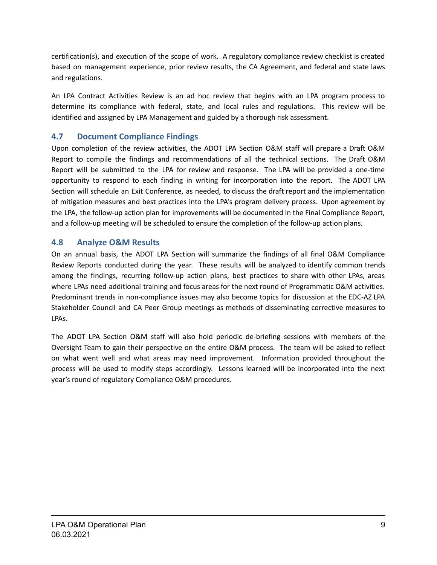certification(s), and execution of the scope of work. A regulatory compliance review checklist is created based on management experience, prior review results, the CA Agreement, and federal and state laws and regulations.

An LPA Contract Activities Review is an ad hoc review that begins with an LPA program process to determine its compliance with federal, state, and local rules and regulations. This review will be identified and assigned by LPA Management and guided by a thorough risk assessment.

## <span id="page-11-0"></span>**4.7 Document Compliance Findings**

Upon completion of the review activities, the ADOT LPA Section O&M staff will prepare a Draft O&M Report to compile the findings and recommendations of all the technical sections. The Draft O&M Report will be submitted to the LPA for review and response. The LPA will be provided a one-time opportunity to respond to each finding in writing for incorporation into the report. The ADOT LPA Section will schedule an Exit Conference, as needed, to discuss the draft report and the implementation of mitigation measures and best practices into the LPA's program delivery process. Upon agreement by the LPA, the follow-up action plan for improvements will be documented in the Final Compliance Report, and a follow-up meeting will be scheduled to ensure the completion of the follow-up action plans.

### <span id="page-11-1"></span>**4.8 Analyze O&M Results**

On an annual basis, the ADOT LPA Section will summarize the findings of all final O&M Compliance Review Reports conducted during the year. These results will be analyzed to identify common trends among the findings, recurring follow-up action plans, best practices to share with other LPAs, areas where LPAs need additional training and focus areas for the next round of Programmatic O&M activities. Predominant trends in non-compliance issues may also become topics for discussion at the EDC-AZ LPA Stakeholder Council and CA Peer Group meetings as methods of disseminating corrective measures to LPAs.

The ADOT LPA Section O&M staff will also hold periodic de-briefing sessions with members of the Oversight Team to gain their perspective on the entire O&M process. The team will be asked to reflect on what went well and what areas may need improvement. Information provided throughout the process will be used to modify steps accordingly. Lessons learned will be incorporated into the next year's round of regulatory Compliance O&M procedures.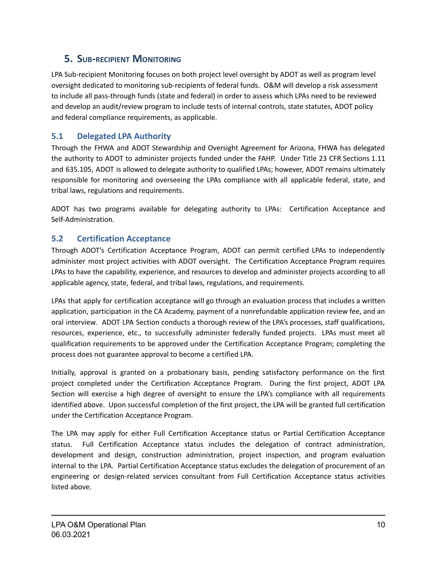# <span id="page-12-0"></span>**5. SUB-RECIPIENT MONITORING**

LPA Sub-recipient Monitoring focuses on both project level oversight by ADOT as well as program level oversight dedicated to monitoring sub-recipients of federal funds. O&M will develop a risk assessment to include all pass-through funds (state and federal) in order to assess which LPAs need to be reviewed and develop an audit/review program to include tests of internal controls, state statutes, ADOT policy and federal compliance requirements, as applicable.

# <span id="page-12-1"></span>**5.1 Delegated LPA Authority**

Through the FHWA and ADOT Stewardship and Oversight Agreement for Arizona, FHWA has delegated the authority to ADOT to administer projects funded under the FAHP. Under Title 23 CFR Sections 1.11 and 635.105, ADOT is allowed to delegate authority to qualified LPAs; however, ADOT remains ultimately responsible for monitoring and overseeing the LPAs compliance with all applicable federal, state, and tribal laws, regulations and requirements.

ADOT has two programs available for delegating authority to LPAs: Certification Acceptance and Self-Administration.

# <span id="page-12-2"></span>**5.2 Certification Acceptance**

Through ADOT's Certification Acceptance Program, ADOT can permit certified LPAs to independently administer most project activities with ADOT oversight. The Certification Acceptance Program requires LPAs to have the capability, experience, and resources to develop and administer projects according to all applicable agency, state, federal, and tribal laws, regulations, and requirements.

LPAs that apply for certification acceptance will go through an evaluation process that includes a written application, participation in the CA Academy, payment of a nonrefundable application review fee, and an oral interview. ADOT LPA Section conducts a thorough review of the LPA's processes, staff qualifications, resources, experience, etc., to successfully administer federally funded projects. LPAs must meet all qualification requirements to be approved under the Certification Acceptance Program; completing the process does not guarantee approval to become a certified LPA.

Initially, approval is granted on a probationary basis, pending satisfactory performance on the first project completed under the Certification Acceptance Program. During the first project, ADOT LPA Section will exercise a high degree of oversight to ensure the LPA's compliance with all requirements identified above. Upon successful completion of the first project, the LPA will be granted full certification under the Certification Acceptance Program.

The LPA may apply for either Full Certification Acceptance status or Partial Certification Acceptance status. Full Certification Acceptance status includes the delegation of contract administration, development and design, construction administration, project inspection, and program evaluation internal to the LPA. Partial Certification Acceptance status excludes the delegation of procurement of an engineering or design-related services consultant from Full Certification Acceptance status activities listed above.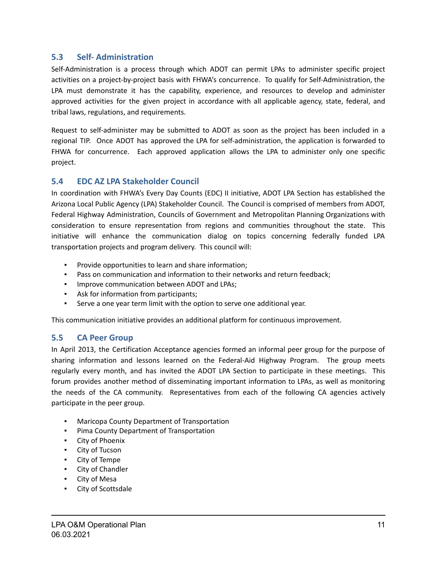#### <span id="page-13-0"></span>**5.3 Self- Administration**

Self-Administration is a process through which ADOT can permit LPAs to administer specific project activities on a project-by-project basis with FHWA's concurrence. To qualify for Self-Administration, the LPA must demonstrate it has the capability, experience, and resources to develop and administer approved activities for the given project in accordance with all applicable agency, state, federal, and tribal laws, regulations, and requirements.

Request to self-administer may be submitted to ADOT as soon as the project has been included in a regional TIP. Once ADOT has approved the LPA for self-administration, the application is forwarded to FHWA for concurrence. Each approved application allows the LPA to administer only one specific project.

### <span id="page-13-1"></span>**5.4 EDC AZ LPA Stakeholder Council**

In coordination with FHWA's Every Day Counts (EDC) II initiative, ADOT LPA Section has established the Arizona Local Public Agency (LPA) Stakeholder Council. The Council is comprised of members from ADOT, Federal Highway Administration, Councils of Government and Metropolitan Planning Organizations with consideration to ensure representation from regions and communities throughout the state. This initiative will enhance the communication dialog on topics concerning federally funded LPA transportation projects and program delivery. This council will:

- Provide opportunities to learn and share information;
- Pass on communication and information to their networks and return feedback;
- **Improve communication between ADOT and LPAs;**
- Ask for information from participants;
- Serve a one year term limit with the option to serve one additional year.

This communication initiative provides an additional platform for continuous improvement.

#### <span id="page-13-2"></span>**5.5 CA Peer Group**

In April 2013, the Certification Acceptance agencies formed an informal peer group for the purpose of sharing information and lessons learned on the Federal-Aid Highway Program. The group meets regularly every month, and has invited the ADOT LPA Section to participate in these meetings. This forum provides another method of disseminating important information to LPAs, as well as monitoring the needs of the CA community. Representatives from each of the following CA agencies actively participate in the peer group.

- Maricopa County Department of Transportation
- Pima County Department of Transportation
- City of Phoenix
- City of Tucson
- City of Tempe
- City of Chandler
- City of Mesa
- City of Scottsdale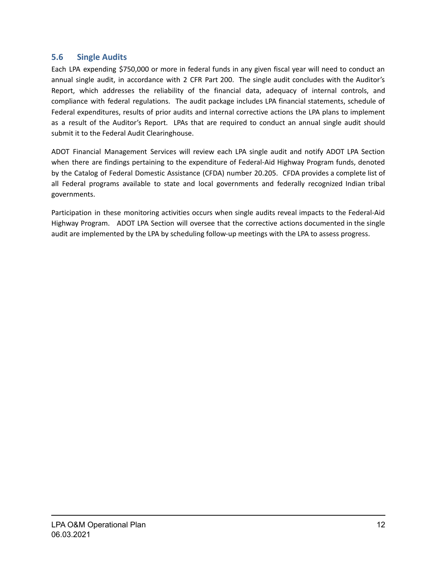## <span id="page-14-0"></span>**5.6 Single Audits**

Each LPA expending \$750,000 or more in federal funds in any given fiscal year will need to conduct an annual single audit, in accordance with 2 CFR Part 200. The single audit concludes with the Auditor's Report, which addresses the reliability of the financial data, adequacy of internal controls, and compliance with federal regulations. The audit package includes LPA financial statements, schedule of Federal expenditures, results of prior audits and internal corrective actions the LPA plans to implement as a result of the Auditor's Report. LPAs that are required to conduct an annual single audit should submit it to the Federal Audit Clearinghouse.

ADOT Financial Management Services will review each LPA single audit and notify ADOT LPA Section when there are findings pertaining to the expenditure of Federal-Aid Highway Program funds, denoted by the Catalog of Federal Domestic Assistance (CFDA) number 20.205. CFDA provides a complete list of all Federal programs available to state and local governments and federally recognized Indian tribal governments.

Participation in these monitoring activities occurs when single audits reveal impacts to the Federal-Aid Highway Program. ADOT LPA Section will oversee that the corrective actions documented in the single audit are implemented by the LPA by scheduling follow-up meetings with the LPA to assess progress.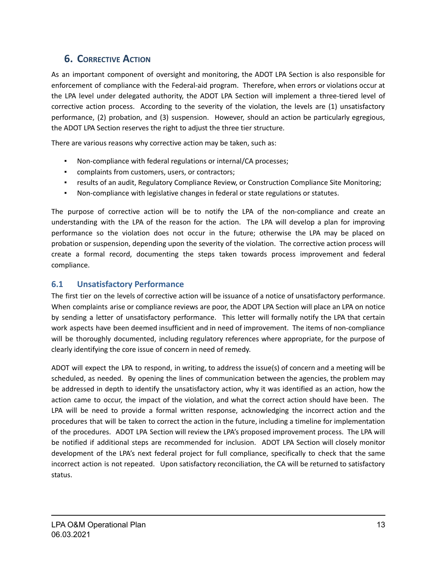# <span id="page-15-0"></span>**6. CORRECTIVE ACTION**

As an important component of oversight and monitoring, the ADOT LPA Section is also responsible for enforcement of compliance with the Federal-aid program. Therefore, when errors or violations occur at the LPA level under delegated authority, the ADOT LPA Section will implement a three-tiered level of corrective action process. According to the severity of the violation, the levels are (1) unsatisfactory performance, (2) probation, and (3) suspension. However, should an action be particularly egregious, the ADOT LPA Section reserves the right to adjust the three tier structure.

There are various reasons why corrective action may be taken, such as:

- Non-compliance with federal regulations or internal/CA processes;
- complaints from customers, users, or contractors;
- results of an audit, Regulatory Compliance Review, or Construction Compliance Site Monitoring;
- Non-compliance with legislative changes in federal or state regulations or statutes.

The purpose of corrective action will be to notify the LPA of the non-compliance and create an understanding with the LPA of the reason for the action. The LPA will develop a plan for improving performance so the violation does not occur in the future; otherwise the LPA may be placed on probation or suspension, depending upon the severity of the violation. The corrective action process will create a formal record, documenting the steps taken towards process improvement and federal compliance.

## <span id="page-15-1"></span>**6.1 Unsatisfactory Performance**

The first tier on the levels of corrective action will be issuance of a notice of unsatisfactory performance. When complaints arise or compliance reviews are poor, the ADOT LPA Section will place an LPA on notice by sending a letter of unsatisfactory performance. This letter will formally notify the LPA that certain work aspects have been deemed insufficient and in need of improvement. The items of non-compliance will be thoroughly documented, including regulatory references where appropriate, for the purpose of clearly identifying the core issue of concern in need of remedy.

ADOT will expect the LPA to respond, in writing, to address the issue(s) of concern and a meeting will be scheduled, as needed. By opening the lines of communication between the agencies, the problem may be addressed in depth to identify the unsatisfactory action, why it was identified as an action, how the action came to occur, the impact of the violation, and what the correct action should have been. The LPA will be need to provide a formal written response, acknowledging the incorrect action and the procedures that will be taken to correct the action in the future, including a timeline for implementation of the procedures. ADOT LPA Section will review the LPA's proposed improvement process. The LPA will be notified if additional steps are recommended for inclusion. ADOT LPA Section will closely monitor development of the LPA's next federal project for full compliance, specifically to check that the same incorrect action is not repeated. Upon satisfactory reconciliation, the CA will be returned to satisfactory status.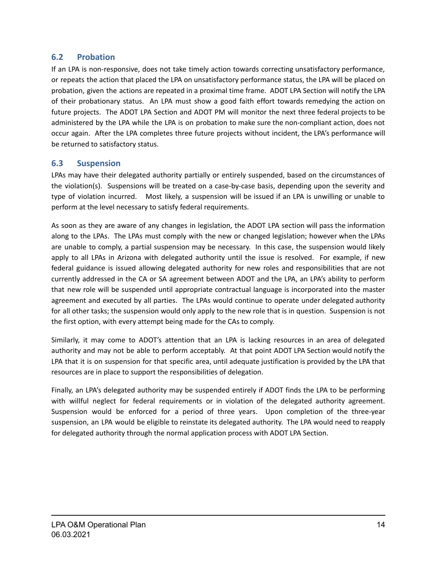### <span id="page-16-0"></span>**6.2 Probation**

If an LPA is non-responsive, does not take timely action towards correcting unsatisfactory performance, or repeats the action that placed the LPA on unsatisfactory performance status, the LPA will be placed on probation, given the actions are repeated in a proximal time frame. ADOT LPA Section will notify the LPA of their probationary status. An LPA must show a good faith effort towards remedying the action on future projects. The ADOT LPA Section and ADOT PM will monitor the next three federal projects to be administered by the LPA while the LPA is on probation to make sure the non-compliant action, does not occur again. After the LPA completes three future projects without incident, the LPA's performance will be returned to satisfactory status.

#### <span id="page-16-1"></span>**6.3 Suspension**

LPAs may have their delegated authority partially or entirely suspended, based on the circumstances of the violation(s). Suspensions will be treated on a case-by-case basis, depending upon the severity and type of violation incurred. Most likely, a suspension will be issued if an LPA is unwilling or unable to perform at the level necessary to satisfy federal requirements.

As soon as they are aware of any changes in legislation, the ADOT LPA section will pass the information along to the LPAs. The LPAs must comply with the new or changed legislation; however when the LPAs are unable to comply, a partial suspension may be necessary. In this case, the suspension would likely apply to all LPAs in Arizona with delegated authority until the issue is resolved. For example, if new federal guidance is issued allowing delegated authority for new roles and responsibilities that are not currently addressed in the CA or SA agreement between ADOT and the LPA, an LPA's ability to perform that new role will be suspended until appropriate contractual language is incorporated into the master agreement and executed by all parties. The LPAs would continue to operate under delegated authority for all other tasks; the suspension would only apply to the new role that is in question. Suspension is not the first option, with every attempt being made for the CAs to comply.

Similarly, it may come to ADOT's attention that an LPA is lacking resources in an area of delegated authority and may not be able to perform acceptably. At that point ADOT LPA Section would notify the LPA that it is on suspension for that specific area, until adequate justification is provided by the LPA that resources are in place to support the responsibilities of delegation.

Finally, an LPA's delegated authority may be suspended entirely if ADOT finds the LPA to be performing with willful neglect for federal requirements or in violation of the delegated authority agreement. Suspension would be enforced for a period of three years. Upon completion of the three-year suspension, an LPA would be eligible to reinstate its delegated authority. The LPA would need to reapply for delegated authority through the normal application process with ADOT LPA Section.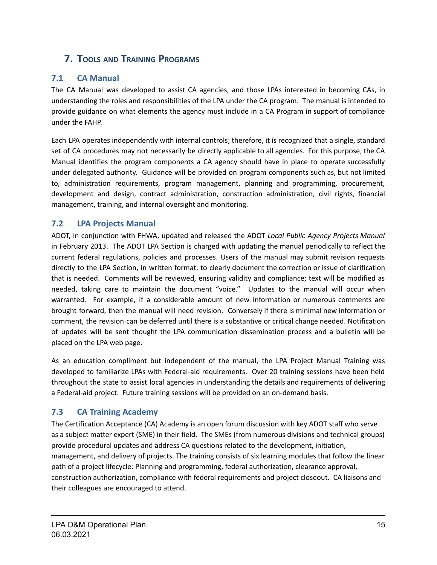# <span id="page-17-0"></span>**7. TOOLS AND TRAINING PROGRAMS**

# <span id="page-17-1"></span>**7.1 CA Manual**

The CA Manual was developed to assist CA agencies, and those LPAs interested in becoming CAs, in understanding the roles and responsibilities of the LPA under the CA program. The manual is intended to provide guidance on what elements the agency must include in a CA Program in support of compliance under the FAHP.

Each LPA operates independently with internal controls; therefore, it is recognized that a single, standard set of CA procedures may not necessarily be directly applicable to all agencies. For this purpose, the CA Manual identifies the program components a CA agency should have in place to operate successfully under delegated authority. Guidance will be provided on program components such as, but not limited to, administration requirements, program management, planning and programming, procurement, development and design, contract administration, construction administration, civil rights, financial management, training, and internal oversight and monitoring.

## <span id="page-17-2"></span>**7.2 LPA Projects Manual**

ADOT, in conjunction with FHWA, updated and released the ADOT *Local Public Agency Projects Manual* in February 2013. The ADOT LPA Section is charged with updating the manual periodically to reflect the current federal regulations, policies and processes. Users of the manual may submit revision requests directly to the LPA Section, in written format, to clearly document the correction or issue of clarification that is needed. Comments will be reviewed, ensuring validity and compliance; text will be modified as needed, taking care to maintain the document "voice." Updates to the manual will occur when warranted. For example, if a considerable amount of new information or numerous comments are brought forward, then the manual will need revision. Conversely if there is minimal new information or comment, the revision can be deferred until there is a substantive or critical change needed. Notification of updates will be sent thought the LPA communication dissemination process and a bulletin will be placed on the LPA web page.

As an education compliment but independent of the manual, the LPA Project Manual Training was developed to familiarize LPAs with Federal-aid requirements. Over 20 training sessions have been held throughout the state to assist local agencies in understanding the details and requirements of delivering a Federal-aid project. Future training sessions will be provided on an on-demand basis.

## <span id="page-17-3"></span>**7.3 CA Training Academy**

The Certification Acceptance (CA) Academy is an open forum discussion with key ADOT staff who serve as a subject matter expert (SME) in their field. The SMEs (from numerous divisions and technical groups) provide procedural updates and address CA questions related to the development, initiation, management, and delivery of projects. The training consists of six learning modules that follow the linear path of a project lifecycle: Planning and programming, federal authorization, clearance approval, construction authorization, compliance with federal requirements and project closeout. CA liaisons and their colleagues are encouraged to attend.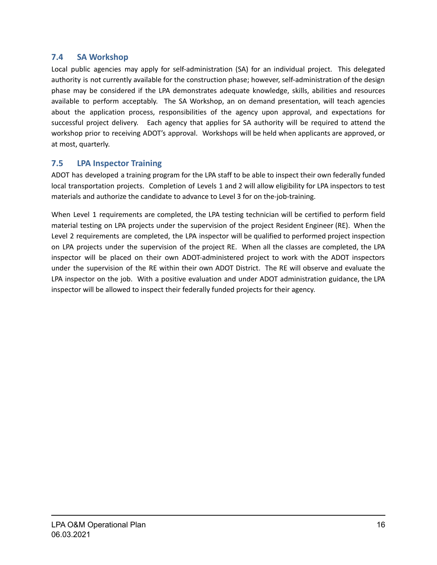### <span id="page-18-0"></span>**7.4 SA Workshop**

Local public agencies may apply for self-administration (SA) for an individual project. This delegated authority is not currently available for the construction phase; however, self-administration of the design phase may be considered if the LPA demonstrates adequate knowledge, skills, abilities and resources available to perform acceptably. The SA Workshop, an on demand presentation, will teach agencies about the application process, responsibilities of the agency upon approval, and expectations for successful project delivery. Each agency that applies for SA authority will be required to attend the workshop prior to receiving ADOT's approval. Workshops will be held when applicants are approved, or at most, quarterly.

### <span id="page-18-1"></span>**7.5 LPA Inspector Training**

ADOT has developed a training program for the LPA staff to be able to inspect their own federally funded local transportation projects. Completion of Levels 1 and 2 will allow eligibility for LPA inspectors to test materials and authorize the candidate to advance to Level 3 for on the-job-training.

When Level 1 requirements are completed, the LPA testing technician will be certified to perform field material testing on LPA projects under the supervision of the project Resident Engineer (RE). When the Level 2 requirements are completed, the LPA inspector will be qualified to performed project inspection on LPA projects under the supervision of the project RE. When all the classes are completed, the LPA inspector will be placed on their own ADOT-administered project to work with the ADOT inspectors under the supervision of the RE within their own ADOT District. The RE will observe and evaluate the LPA inspector on the job. With a positive evaluation and under ADOT administration guidance, the LPA inspector will be allowed to inspect their federally funded projects for their agency.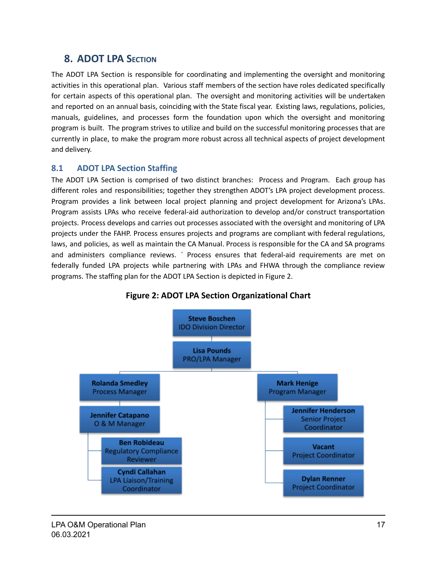# <span id="page-19-0"></span>**8. ADOT LPA SECTION**

The ADOT LPA Section is responsible for coordinating and implementing the oversight and monitoring activities in this operational plan. Various staff members of the section have roles dedicated specifically for certain aspects of this operational plan. The oversight and monitoring activities will be undertaken and reported on an annual basis, coinciding with the State fiscal year. Existing laws, regulations, policies, manuals, guidelines, and processes form the foundation upon which the oversight and monitoring program is built. The program strives to utilize and build on the successful monitoring processes that are currently in place, to make the program more robust across all technical aspects of project development and delivery.

### <span id="page-19-1"></span>**8.1 ADOT LPA Section Staffing**

The ADOT LPA Section is comprised of two distinct branches: Process and Program. Each group has different roles and responsibilities; together they strengthen ADOT's LPA project development process. Program provides a link between local project planning and project development for Arizona's LPAs. Program assists LPAs who receive federal-aid authorization to develop and/or construct transportation projects. Process develops and carries out processes associated with the oversight and monitoring of LPA projects under the FAHP. Process ensures projects and programs are compliant with federal regulations, laws, and policies, as well as maintain the CA Manual. Process is responsible for the CA and SA programs and administers compliance reviews. ` Process ensures that federal-aid requirements are met on federally funded LPA projects while partnering with LPAs and FHWA through the compliance review programs. The staffing plan for the ADOT LPA Section is depicted in Figure 2.

<span id="page-19-2"></span>

### **Figure 2: ADOT LPA Section Organizational Chart**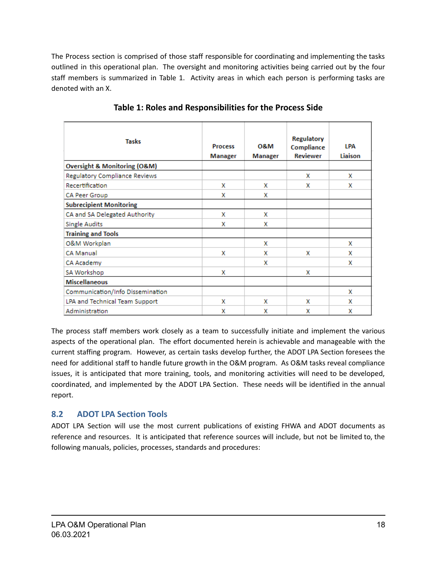The Process section is comprised of those staff responsible for coordinating and implementing the tasks outlined in this operational plan. The oversight and monitoring activities being carried out by the four staff members is summarized in Table 1. Activity areas in which each person is performing tasks are denoted with an X.

| <b>Tasks</b>                                | <b>Process</b><br>Manager | <b>O&amp;M</b><br>Manager | <b>Regulatory</b><br>Compliance<br><b>Reviewer</b> | I PA<br>Liaison |
|---------------------------------------------|---------------------------|---------------------------|----------------------------------------------------|-----------------|
| <b>Oversight &amp; Monitoring (O&amp;M)</b> |                           |                           |                                                    |                 |
| Regulatory Compliance Reviews               |                           |                           | x                                                  | x               |
| Recertification                             | x                         | x                         | x                                                  | x               |
| CA Peer Group                               | x                         | x                         |                                                    |                 |
| <b>Subrecipient Monitoring</b>              |                           |                           |                                                    |                 |
| CA and SA Delegated Authority               | x                         | x                         |                                                    |                 |
| <b>Single Audits</b>                        | x                         | x                         |                                                    |                 |
| <b>Training and Tools</b>                   |                           |                           |                                                    |                 |
| O&M Workplan                                |                           | x                         |                                                    | x               |
| <b>CA Manual</b>                            | x                         | x                         | x                                                  | x               |
| CA Academy                                  |                           | x                         |                                                    | x               |
| SA Workshop                                 | x                         |                           | x                                                  |                 |
| <b>Miscellaneous</b>                        |                           |                           |                                                    |                 |
| Communication/Info Dissemination            |                           |                           |                                                    | x               |
| LPA and Technical Team Support              | x                         | x                         | x                                                  | x               |
| Administration                              | x                         | x                         | x                                                  | x               |

**Table 1: Roles and Responsibilities for the Process Side**

The process staff members work closely as a team to successfully initiate and implement the various aspects of the operational plan. The effort documented herein is achievable and manageable with the current staffing program. However, as certain tasks develop further, the ADOT LPA Section foresees the need for additional staff to handle future growth in the O&M program. As O&M tasks reveal compliance issues, it is anticipated that more training, tools, and monitoring activities will need to be developed, coordinated, and implemented by the ADOT LPA Section. These needs will be identified in the annual report.

## <span id="page-20-0"></span>**8.2 ADOT LPA Section Tools**

ADOT LPA Section will use the most current publications of existing FHWA and ADOT documents as reference and resources. It is anticipated that reference sources will include, but not be limited to, the following manuals, policies, processes, standards and procedures: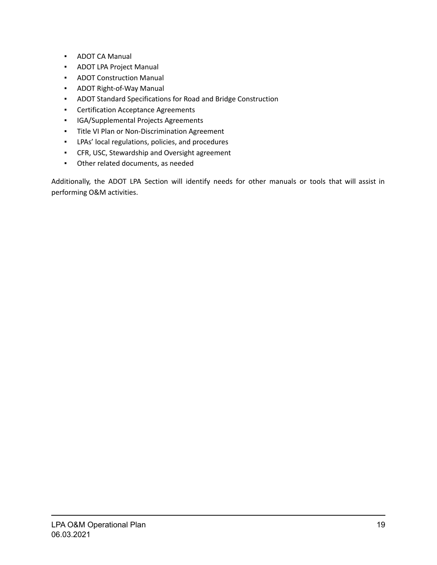- ADOT CA Manual
- ADOT LPA Project Manual
- ADOT Construction Manual
- ADOT Right-of-Way Manual
- ADOT Standard Specifications for Road and Bridge Construction
- Certification Acceptance Agreements
- IGA/Supplemental Projects Agreements
- Title VI Plan or Non-Discrimination Agreement
- LPAs' local regulations, policies, and procedures
- CFR, USC, Stewardship and Oversight agreement
- Other related documents, as needed

Additionally, the ADOT LPA Section will identify needs for other manuals or tools that will assist in performing O&M activities.